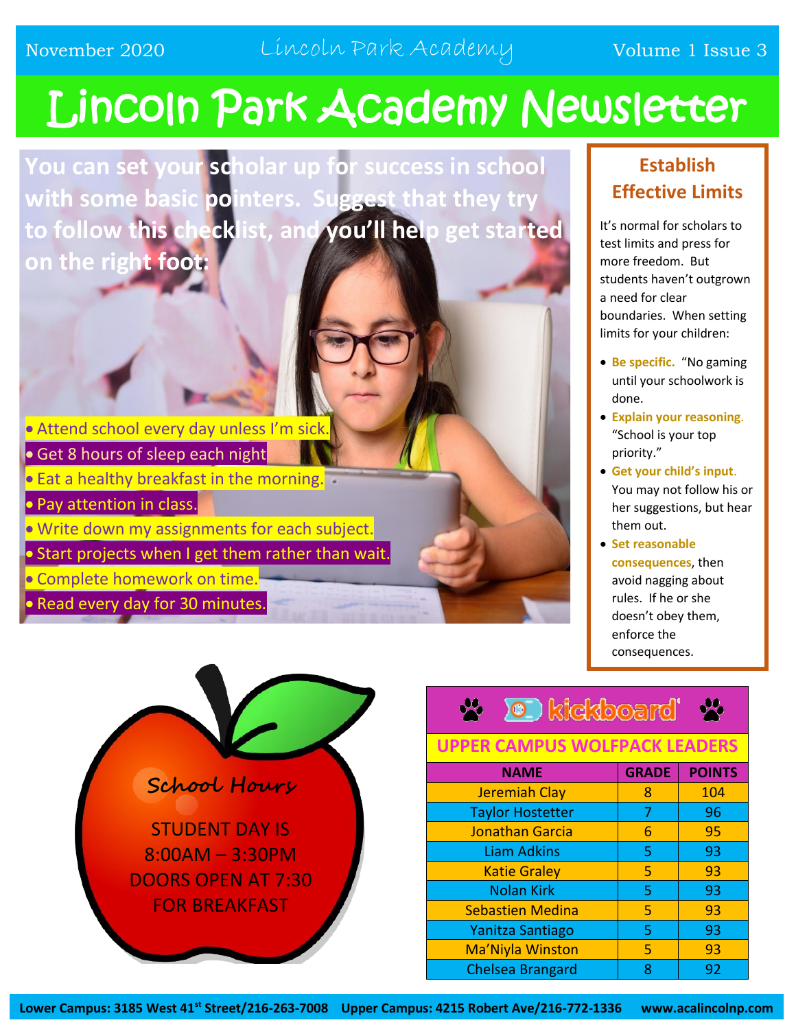# Lincoln Park Academy Newsletter

**You can set your scholar up for success in school with some basic pointers. Suggest that they try to follow this checklist, and you'll help get started on the right foot:**

- **Attend school every day unless I'm sick**
- **Get 8 hours of sleep each night**
- **Eat a healthy breakfast in the morning.**
- Pay attention in class.
- Write down my assignments for each subject.
- Start projects when I get them rather than wait.
- **.** Complete homework on time.
- Read every day for 30 minutes.



#### **Establish Effective Limits**

It's normal for scholars to test limits and press for more freedom. But students haven't outgrown a need for clear boundaries. When setting limits for your children:

- **Be specific.** "No gaming until your schoolwork is done.
- **Explain your reasoning**. "School is your top priority."
- **Get your child's input**. You may not follow his or her suggestions, but hear them out.
- **Set reasonable consequences**, then avoid nagging about rules. If he or she doesn't obey them, enforce the consequences.

### **X O** kickboard'

#### **UPPER CAMPUS WOLFPACK LEADERS**

| <b>NAME</b>             | <b>GRADE</b> | <b>POINTS</b> |
|-------------------------|--------------|---------------|
| <b>Jeremiah Clay</b>    | 8            | 104           |
| <b>Taylor Hostetter</b> | 7            | 96            |
| Jonathan Garcia         | 6            | 95            |
| <b>Liam Adkins</b>      | 5            | 93            |
| <b>Katie Graley</b>     | 5            | 93            |
| <b>Nolan Kirk</b>       | 5            | 93            |
| <b>Sebastien Medina</b> | 5            | 93            |
| Yanitza Santiago        | 5            | 93            |
| Ma'Niyla Winston        | 5            | 93            |
| <b>Chelsea Brangard</b> |              | 92            |